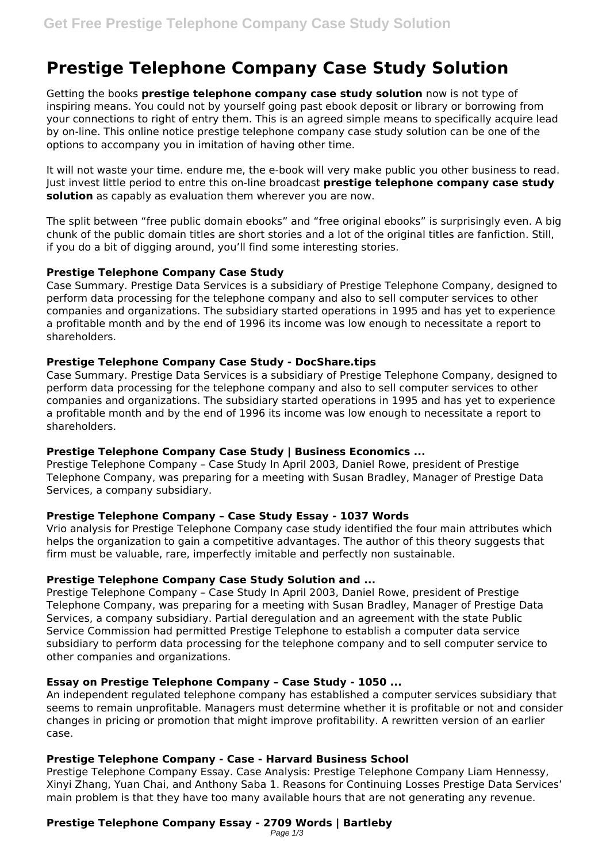# **Prestige Telephone Company Case Study Solution**

Getting the books **prestige telephone company case study solution** now is not type of inspiring means. You could not by yourself going past ebook deposit or library or borrowing from your connections to right of entry them. This is an agreed simple means to specifically acquire lead by on-line. This online notice prestige telephone company case study solution can be one of the options to accompany you in imitation of having other time.

It will not waste your time. endure me, the e-book will very make public you other business to read. Just invest little period to entre this on-line broadcast **prestige telephone company case study solution** as capably as evaluation them wherever you are now.

The split between "free public domain ebooks" and "free original ebooks" is surprisingly even. A big chunk of the public domain titles are short stories and a lot of the original titles are fanfiction. Still, if you do a bit of digging around, you'll find some interesting stories.

### **Prestige Telephone Company Case Study**

Case Summary. Prestige Data Services is a subsidiary of Prestige Telephone Company, designed to perform data processing for the telephone company and also to sell computer services to other companies and organizations. The subsidiary started operations in 1995 and has yet to experience a profitable month and by the end of 1996 its income was low enough to necessitate a report to shareholders.

# **Prestige Telephone Company Case Study - DocShare.tips**

Case Summary. Prestige Data Services is a subsidiary of Prestige Telephone Company, designed to perform data processing for the telephone company and also to sell computer services to other companies and organizations. The subsidiary started operations in 1995 and has yet to experience a profitable month and by the end of 1996 its income was low enough to necessitate a report to shareholders.

# **Prestige Telephone Company Case Study | Business Economics ...**

Prestige Telephone Company – Case Study In April 2003, Daniel Rowe, president of Prestige Telephone Company, was preparing for a meeting with Susan Bradley, Manager of Prestige Data Services, a company subsidiary.

# **Prestige Telephone Company – Case Study Essay - 1037 Words**

Vrio analysis for Prestige Telephone Company case study identified the four main attributes which helps the organization to gain a competitive advantages. The author of this theory suggests that firm must be valuable, rare, imperfectly imitable and perfectly non sustainable.

# **Prestige Telephone Company Case Study Solution and ...**

Prestige Telephone Company – Case Study In April 2003, Daniel Rowe, president of Prestige Telephone Company, was preparing for a meeting with Susan Bradley, Manager of Prestige Data Services, a company subsidiary. Partial deregulation and an agreement with the state Public Service Commission had permitted Prestige Telephone to establish a computer data service subsidiary to perform data processing for the telephone company and to sell computer service to other companies and organizations.

#### **Essay on Prestige Telephone Company – Case Study - 1050 ...**

An independent regulated telephone company has established a computer services subsidiary that seems to remain unprofitable. Managers must determine whether it is profitable or not and consider changes in pricing or promotion that might improve profitability. A rewritten version of an earlier case.

# **Prestige Telephone Company - Case - Harvard Business School**

Prestige Telephone Company Essay. Case Analysis: Prestige Telephone Company Liam Hennessy, Xinyi Zhang, Yuan Chai, and Anthony Saba 1. Reasons for Continuing Losses Prestige Data Services' main problem is that they have too many available hours that are not generating any revenue.

#### **Prestige Telephone Company Essay - 2709 Words | Bartleby** Page  $1/3$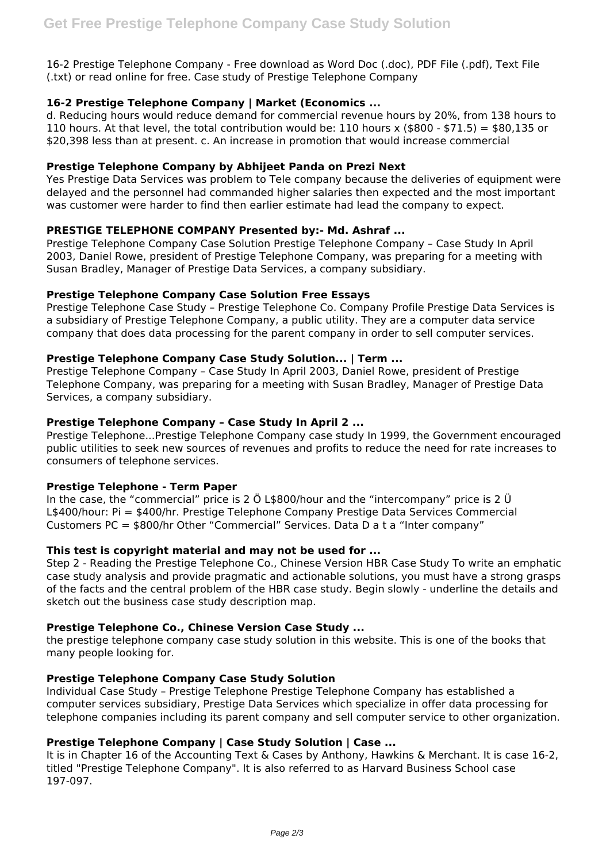16-2 Prestige Telephone Company - Free download as Word Doc (.doc), PDF File (.pdf), Text File (.txt) or read online for free. Case study of Prestige Telephone Company

## **16-2 Prestige Telephone Company | Market (Economics ...**

d. Reducing hours would reduce demand for commercial revenue hours by 20%, from 138 hours to 110 hours. At that level, the total contribution would be: 110 hours x (\$800 - \$71.5) = \$80,135 or \$20,398 less than at present. c. An increase in promotion that would increase commercial

### **Prestige Telephone Company by Abhijeet Panda on Prezi Next**

Yes Prestige Data Services was problem to Tele company because the deliveries of equipment were delayed and the personnel had commanded higher salaries then expected and the most important was customer were harder to find then earlier estimate had lead the company to expect.

### **PRESTIGE TELEPHONE COMPANY Presented by:- Md. Ashraf ...**

Prestige Telephone Company Case Solution Prestige Telephone Company – Case Study In April 2003, Daniel Rowe, president of Prestige Telephone Company, was preparing for a meeting with Susan Bradley, Manager of Prestige Data Services, a company subsidiary.

### **Prestige Telephone Company Case Solution Free Essays**

Prestige Telephone Case Study – Prestige Telephone Co. Company Profile Prestige Data Services is a subsidiary of Prestige Telephone Company, a public utility. They are a computer data service company that does data processing for the parent company in order to sell computer services.

### **Prestige Telephone Company Case Study Solution... | Term ...**

Prestige Telephone Company – Case Study In April 2003, Daniel Rowe, president of Prestige Telephone Company, was preparing for a meeting with Susan Bradley, Manager of Prestige Data Services, a company subsidiary.

### **Prestige Telephone Company – Case Study In April 2 ...**

Prestige Telephone...Prestige Telephone Company case study In 1999, the Government encouraged public utilities to seek new sources of revenues and profits to reduce the need for rate increases to consumers of telephone services.

#### **Prestige Telephone - Term Paper**

In the case, the "commercial" price is 2 Ö L\$800/hour and the "intercompany" price is 2 Ü L\$400/hour: Pi = \$400/hr. Prestige Telephone Company Prestige Data Services Commercial Customers PC = \$800/hr Other "Commercial" Services. Data D a t a "Inter company"

#### **This test is copyright material and may not be used for ...**

Step 2 - Reading the Prestige Telephone Co., Chinese Version HBR Case Study To write an emphatic case study analysis and provide pragmatic and actionable solutions, you must have a strong grasps of the facts and the central problem of the HBR case study. Begin slowly - underline the details and sketch out the business case study description map.

#### **Prestige Telephone Co., Chinese Version Case Study ...**

the prestige telephone company case study solution in this website. This is one of the books that many people looking for.

# **Prestige Telephone Company Case Study Solution**

Individual Case Study – Prestige Telephone Prestige Telephone Company has established a computer services subsidiary, Prestige Data Services which specialize in offer data processing for telephone companies including its parent company and sell computer service to other organization.

# **Prestige Telephone Company | Case Study Solution | Case ...**

It is in Chapter 16 of the Accounting Text & Cases by Anthony, Hawkins & Merchant. It is case 16-2, titled "Prestige Telephone Company". It is also referred to as Harvard Business School case 197-097.